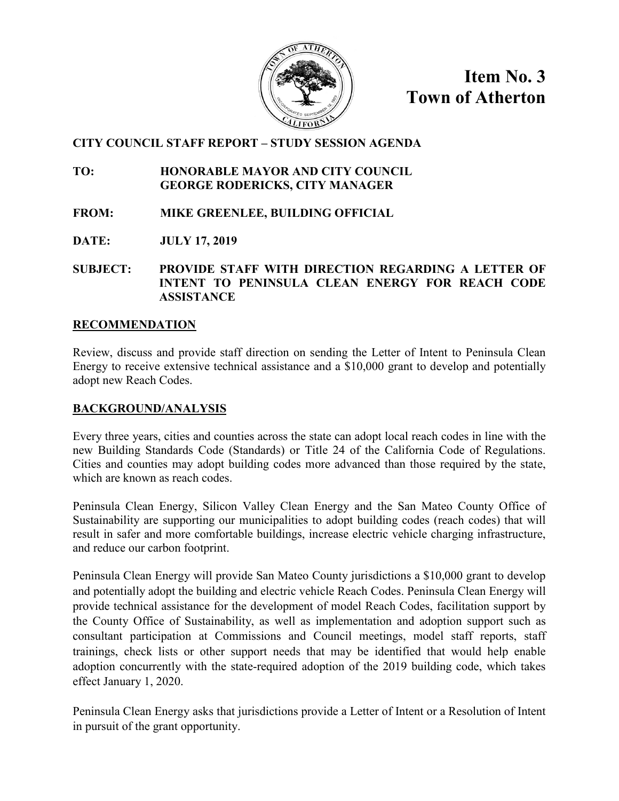

**Item No. 3 Town of Atherton**

# **CITY COUNCIL STAFF REPORT – STUDY SESSION AGENDA**

**TO: HONORABLE MAYOR AND CITY COUNCIL GEORGE RODERICKS, CITY MANAGER**

- **FROM: MIKE GREENLEE, BUILDING OFFICIAL**
- **DATE: JULY 17, 2019**

**SUBJECT: PROVIDE STAFF WITH DIRECTION REGARDING A LETTER OF INTENT TO PENINSULA CLEAN ENERGY FOR REACH CODE ASSISTANCE**

## **RECOMMENDATION**

Review, discuss and provide staff direction on sending the Letter of Intent to Peninsula Clean Energy to receive extensive technical assistance and a \$10,000 grant to develop and potentially adopt new Reach Codes.

## **BACKGROUND/ANALYSIS**

Every three years, cities and counties across the state can adopt local reach codes in line with the new Building Standards Code (Standards) or Title 24 of the California Code of Regulations. Cities and counties may adopt building codes more advanced than those required by the state, which are known as reach codes.

Peninsula Clean Energy, Silicon Valley Clean Energy and the San Mateo County Office of Sustainability are supporting our municipalities to adopt building codes (reach codes) that will result in safer and more comfortable buildings, increase electric vehicle charging infrastructure, and reduce our carbon footprint.

Peninsula Clean Energy will provide San Mateo County jurisdictions a \$10,000 grant to develop and potentially adopt the building and electric vehicle Reach Codes. Peninsula Clean Energy will provide technical assistance for the development of model Reach Codes, facilitation support by the County Office of Sustainability, as well as implementation and adoption support such as consultant participation at Commissions and Council meetings, model staff reports, staff trainings, check lists or other support needs that may be identified that would help enable adoption concurrently with the state-required adoption of the 2019 building code, which takes effect January 1, 2020.

Peninsula Clean Energy asks that jurisdictions provide a Letter of Intent or a Resolution of Intent in pursuit of the grant opportunity.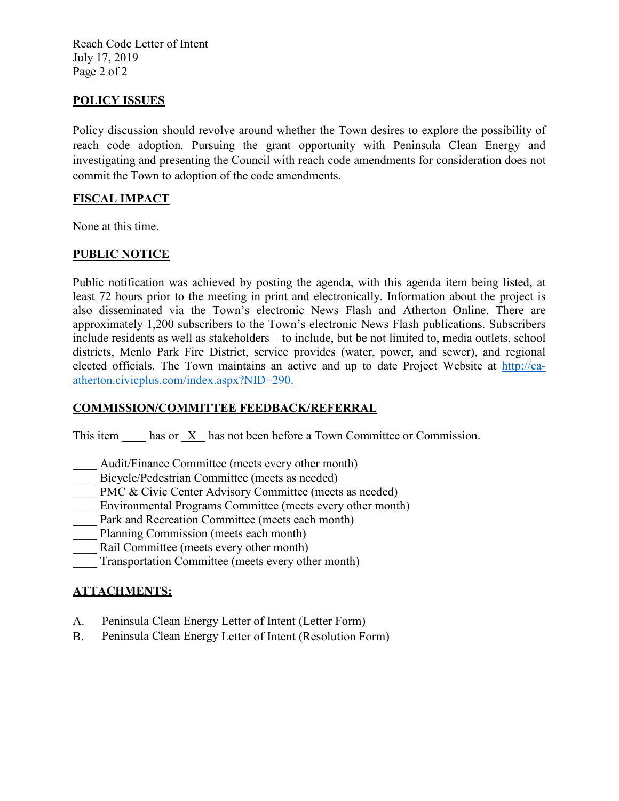Reach Code Letter of Intent July 17, 2019 Page 2 of 2

## **POLICY ISSUES**

Policy discussion should revolve around whether the Town desires to explore the possibility of reach code adoption. Pursuing the grant opportunity with Peninsula Clean Energy and investigating and presenting the Council with reach code amendments for consideration does not commit the Town to adoption of the code amendments.

#### **FISCAL IMPACT**

None at this time.

#### **PUBLIC NOTICE**

Public notification was achieved by posting the agenda, with this agenda item being listed, at least 72 hours prior to the meeting in print and electronically. Information about the project is also disseminated via the Town's electronic News Flash and Atherton Online. There are approximately 1,200 subscribers to the Town's electronic News Flash publications. Subscribers include residents as well as stakeholders – to include, but be not limited to, media outlets, school districts, Menlo Park Fire District, service provides (water, power, and sewer), and regional elected officials. The Town maintains an active and up to date Project Website at [http://ca](http://ca-atherton.civicplus.com/index.aspx?NID=290)[atherton.civicplus.com/index.aspx?NID=290.](http://ca-atherton.civicplus.com/index.aspx?NID=290)

#### **COMMISSION/COMMITTEE FEEDBACK/REFERRAL**

This item has or X has not been before a Town Committee or Commission.

- Audit/Finance Committee (meets every other month)
- Bicycle/Pedestrian Committee (meets as needed)
- PMC & Civic Center Advisory Committee (meets as needed)
- Environmental Programs Committee (meets every other month)
- Park and Recreation Committee (meets each month)
- Planning Commission (meets each month)
- Rail Committee (meets every other month)
- Transportation Committee (meets every other month)

# **ATTACHMENTS:**

- A. Peninsula Clean Energy Letter of Intent (Letter Form)
- B. Peninsula Clean Energy Letter of Intent (Resolution Form)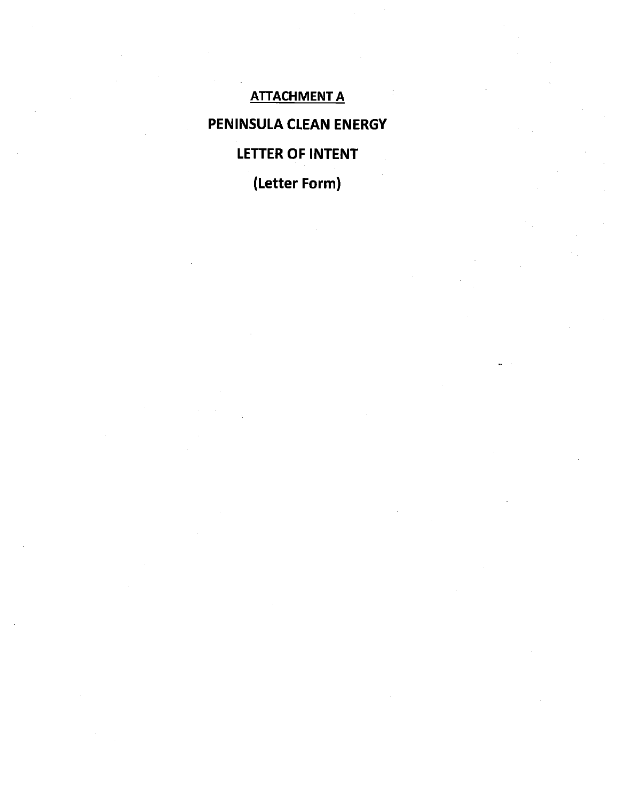# **ATTACHMENT A** PENINSULA CLEAN ENERGY **LETTER OF INTENT**

(Letter Form)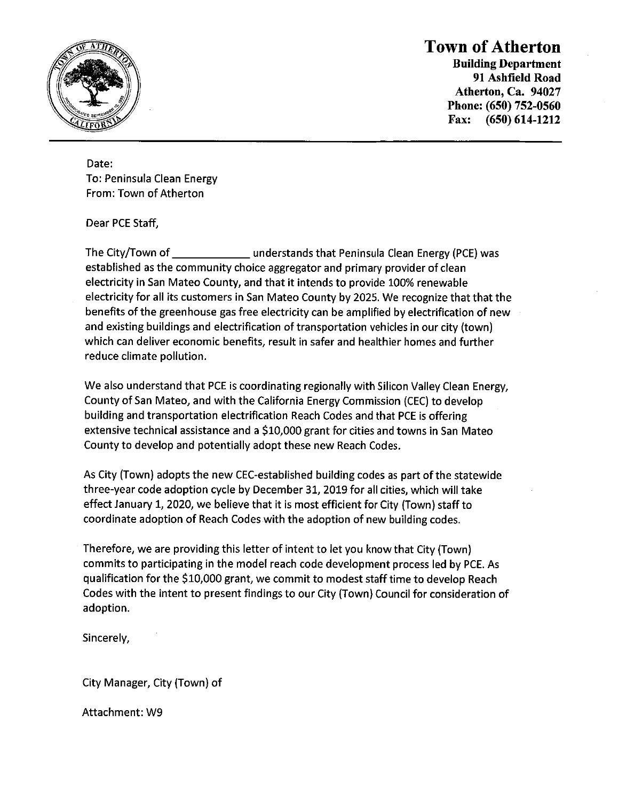

# **Town of Atherton**

**Building Department** 91 Ashfield Road Atherton, Ca. 94027 Phone: (650) 752-0560 Fax:  $(650) 614-1212$ 

Date: To: Peninsula Clean Energy From: Town of Atherton

Dear PCE Staff,

The City/Town of \_\_\_\_\_\_\_\_\_\_\_\_\_\_\_\_ understands that Peninsula Clean Energy (PCE) was established as the community choice aggregator and primary provider of clean electricity in San Mateo County, and that it intends to provide 100% renewable electricity for all its customers in San Mateo County by 2025. We recognize that that the benefits of the greenhouse gas free electricity can be amplified by electrification of new and existing buildings and electrification of transportation vehicles in our city (town) which can deliver economic benefits, result in safer and healthier homes and further reduce climate pollution.

We also understand that PCE is coordinating regionally with Silicon Valley Clean Energy, County of San Mateo, and with the California Energy Commission (CEC) to develop building and transportation electrification Reach Codes and that PCE is offering extensive technical assistance and a \$10,000 grant for cities and towns in San Mateo County to develop and potentially adopt these new Reach Codes.

As City (Town) adopts the new CEC-established building codes as part of the statewide three-year code adoption cycle by December 31, 2019 for all cities, which will take effect January 1, 2020, we believe that it is most efficient for City (Town) staff to coordinate adoption of Reach Codes with the adoption of new building codes.

Therefore, we are providing this letter of intent to let you know that City (Town) commits to participating in the model reach code development process led by PCE. As qualification for the \$10,000 grant, we commit to modest staff time to develop Reach Codes with the intent to present findings to our City (Town) Council for consideration of adoption.

Sincerely,

City Manager, City (Town) of

Attachment: W9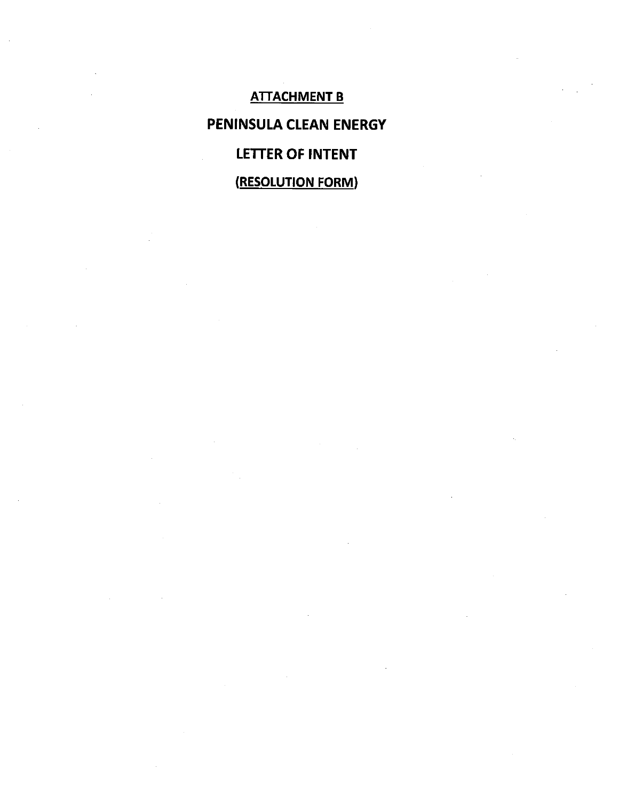**ATTACHMENT B** PENINSULA CLEAN ENERGY **LETTER OF INTENT** (RESOLUTION FORM)